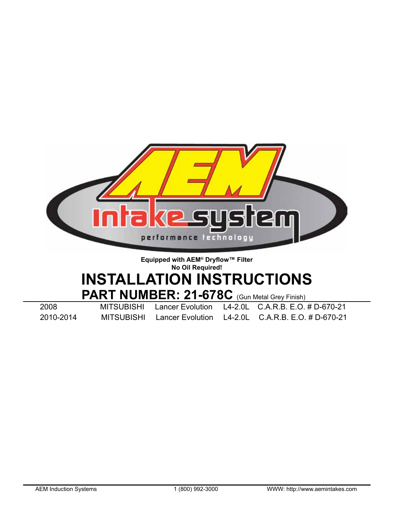

# **Equipped with AEM® Dryflow™ Filter No Oil Required! INSTALLATION INSTRUCTIONS PART NUMBER: 21-678C** (Gun Metal Grey Finish)<br>MITSUBISHI Lancer Evolution L4-2.0L C.A.R.B. E.O.

2008 MITSUBISHI Lancer Evolution L4-2.0L C.A.R.B. E.O. # D-670-21

2010-2014 MITSUBISHI Lancer Evolution L4-2.0L C.A.R.B. E.O. # D-670-21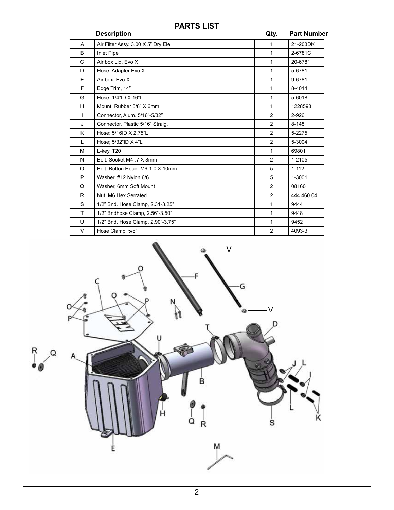# **PARTS LIST**

|              | <b>Description</b>                  | Qty.           | <b>Part Number</b> |
|--------------|-------------------------------------|----------------|--------------------|
| A            | Air Filter Assy. 3.00 X 5" Dry Ele. | 1              | 21-203DK           |
| B            | <b>Inlet Pipe</b>                   | $\mathbf{1}$   | 2-6781C            |
| $\mathsf{C}$ | Air box Lid, Evo X                  | 1              | 20-6781            |
| D            | Hose, Adapter Evo X                 | 1              | 5-6781             |
| E.           | Air box, Evo X                      | $\mathbf{1}$   | 9-6781             |
| F            | Edge Trim, 14"                      | 1              | 8-4014             |
| G            | Hose: 1/4"ID X 16"L                 | 1              | 5-6018             |
| H.           | Mount. Rubber 5/8" X 6mm            | $\mathbf{1}$   | 1228598            |
| L            | Connector, Alum. 5/16"-5/32"        | $\overline{2}$ | 2-926              |
| J            | Connector, Plastic 5/16" Straig.    | 2              | $8 - 148$          |
| K            | Hose; 5/16ID X 2.75"L               | 2              | 5-2275             |
| L            | Hose: 5/32"ID X 4"L                 | 2              | 5-3004             |
| М            | L-key, T20                          | $\mathbf{1}$   | 69801              |
| N            | Bolt. Socket M4-.7 X 8mm            | 2              | 1-2105             |
| O            | Bolt. Button Head M6-1.0 X 10mm     | 5              | $1 - 112$          |
| P            | Washer, #12 Nylon 6/6               | 5              | 1-3001             |
| Q            | Washer, 6mm Soft Mount              | 2              | 08160              |
| R.           | Nut, M6 Hex Serrated                | $\overline{2}$ | 444.460.04         |
| S            | 1/2" Bnd. Hose Clamp, 2.31-3.25"    | $\mathbf{1}$   | 9444               |
| T.           | 1/2" Bndhose Clamp, 2.56"-3.50"     | 1              | 9448               |
| U            | 1/2" Bnd. Hose Clamp, 2.90"-3.75"   | $\mathbf{1}$   | 9452               |
| V            | Hose Clamp, 5/8"                    | 2              | 4093-3             |

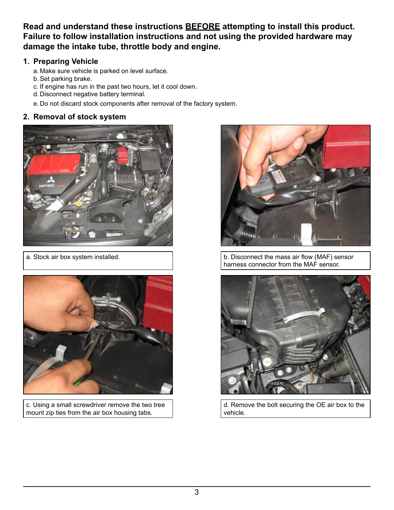**Read and understand these instructions BEFORE attempting to install this product. Failure to follow installation instructions and not using the provided hardware may damage the intake tube, throttle body and engine.**

## **1. Preparing Vehicle**

- a. Make sure vehicle is parked on level surface.
- b.Set parking brake.
- c. If engine has run in the past two hours, let it cool down.
- d. Disconnect negative battery terminal.
- e. Do not discard stock components after removal of the factory system.

## **2. Removal of stock system**





c. Using a small screwdriver remove the two tree mount zip ties from the air box housing tabs.



a. Stock air box system installed. b. Disconnect the mass air flow (MAF) sensor harness connector from the MAF sensor.



d. Remove the bolt securing the OE air box to the vehicle.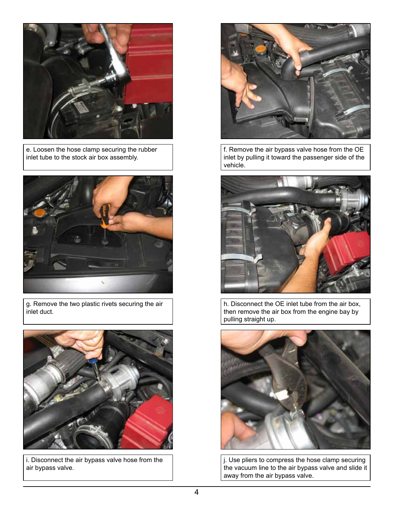

e. Loosen the hose clamp securing the rubber inlet tube to the stock air box assembly.



g. Remove the two plastic rivets securing the air inlet duct.



i. Disconnect the air bypass valve hose from the air bypass valve.



f. Remove the air bypass valve hose from the OE inlet by pulling it toward the passenger side of the vehicle.



h. Disconnect the OE inlet tube from the air box, then remove the air box from the engine bay by pulling straight up.



j. Use pliers to compress the hose clamp securing the vacuum line to the air bypass valve and slide it away from the air bypass valve.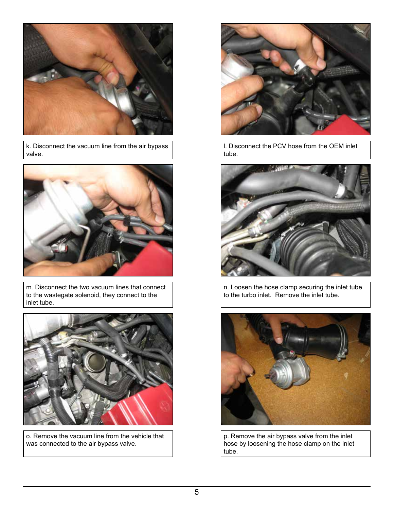![](_page_4_Picture_0.jpeg)

k. Disconnect the vacuum line from the air bypass valve.

![](_page_4_Picture_2.jpeg)

m. Disconnect the two vacuum lines that connect to the wastegate solenoid, they connect to the inlet tube.

![](_page_4_Picture_4.jpeg)

o. Remove the vacuum line from the vehicle that was connected to the air bypass valve.

![](_page_4_Picture_6.jpeg)

l. Disconnect the PCV hose from the OEM inlet tube.

![](_page_4_Picture_8.jpeg)

n. Loosen the hose clamp securing the inlet tube to the turbo inlet. Remove the inlet tube.

![](_page_4_Picture_10.jpeg)

p. Remove the air bypass valve from the inlet hose by loosening the hose clamp on the inlet tube.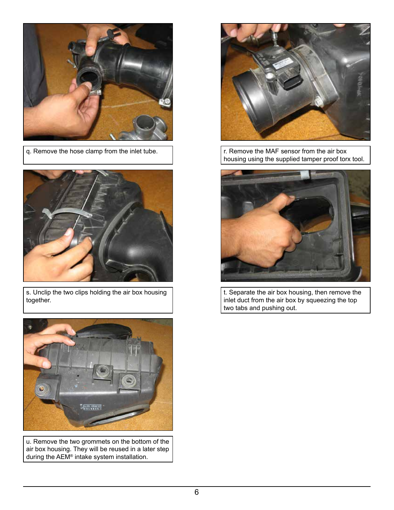![](_page_5_Picture_0.jpeg)

q. Remove the hose clamp from the inlet tube.  $\vert$   $\vert$   $\vert$   $\vert$  r. Remove the MAF sensor from the air box

![](_page_5_Picture_2.jpeg)

s. Unclip the two clips holding the air box housing together.

![](_page_5_Picture_4.jpeg)

u. Remove the two grommets on the bottom of the air box housing. They will be reused in a later step during the AEM® intake system installation.

![](_page_5_Picture_6.jpeg)

housing using the supplied tamper proof torx tool.

![](_page_5_Picture_8.jpeg)

t. Separate the air box housing, then remove the inlet duct from the air box by squeezing the top two tabs and pushing out.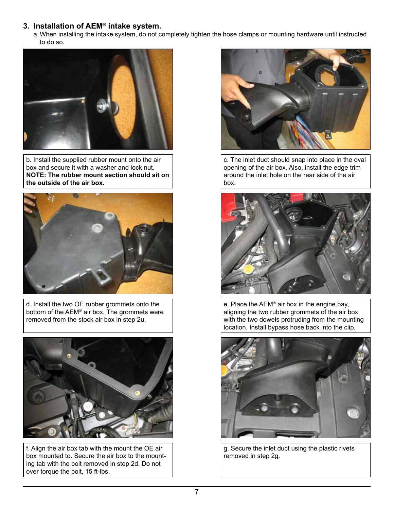#### **3. Installation of AEM® intake system.**

a. When installing the intake system, do not completely tighten the hose clamps or mounting hardware until instructed to do so.

![](_page_6_Picture_2.jpeg)

b. Install the supplied rubber mount onto the air box and secure it with a washer and lock nut. **NOTE: The rubber mount section should sit on the outside of the air box.**

![](_page_6_Picture_4.jpeg)

d. Install the two OE rubber grommets onto the bottom of the AEM® air box. The grommets were removed from the stock air box in step 2u.

![](_page_6_Picture_6.jpeg)

f. Align the air box tab with the mount the OE air box mounted to. Secure the air box to the mounting tab with the bolt removed in step 2d. Do not over torque the bolt, 15 ft-lbs.

![](_page_6_Picture_8.jpeg)

c. The inlet duct should snap into place in the oval opening of the air box. Also, install the edge trim around the inlet hole on the rear side of the air box.

![](_page_6_Picture_10.jpeg)

e. Place the AEM® air box in the engine bay, aligning the two rubber grommets of the air box with the two dowels protruding from the mounting location. Install bypass hose back into the clip.

![](_page_6_Picture_12.jpeg)

g. Secure the inlet duct using the plastic rivets removed in step 2g.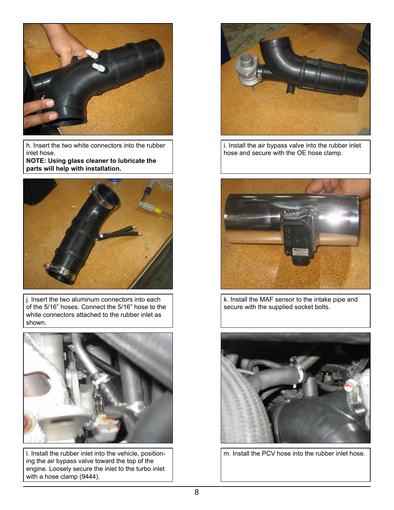![](_page_7_Picture_0.jpeg)

h. Insert the two white connectors into the rubber inlet hose. **NOTE: Using glass cleaner to lubricate the** 

**parts will help with installation.**

![](_page_7_Picture_3.jpeg)

j. Insert the two aluminum connectors into each of the 5/16" hoses. Connect the 5/16" hose to the white connectors attached to the rubber inlet as shown.

![](_page_7_Picture_5.jpeg)

l. Install the rubber inlet into the vehicle, positioning the air bypass valve toward the top of the engine. Loosely secure the inlet to the turbo inlet with a hose clamp (9444).

![](_page_7_Picture_7.jpeg)

i. Install the air bypass valve into the rubber inlet hose and secure with the OE hose clamp.

![](_page_7_Picture_9.jpeg)

k. Install the MAF sensor to the intake pipe and secure with the supplied socket bolts.

![](_page_7_Picture_11.jpeg)

m. Install the PCV hose into the rubber inlet hose.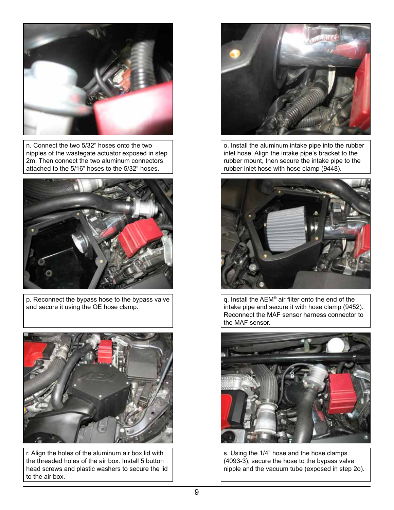![](_page_8_Picture_0.jpeg)

n. Connect the two 5/32" hoses onto the two nipples of the wastegate actuator exposed in step 2m. Then connect the two aluminum connectors attached to the 5/16" hoses to the 5/32" hoses.

![](_page_8_Picture_2.jpeg)

p. Reconnect the bypass hose to the bypass valve and secure it using the OE hose clamp.

![](_page_8_Picture_4.jpeg)

r. Align the holes of the aluminum air box lid with the threaded holes of the air box. Install 5 button head screws and plastic washers to secure the lid to the air box.

![](_page_8_Picture_6.jpeg)

o. Install the aluminum intake pipe into the rubber inlet hose. Align the intake pipe's bracket to the rubber mount, then secure the intake pipe to the rubber inlet hose with hose clamp (9448).

![](_page_8_Picture_8.jpeg)

q. Install the AEM® air filter onto the end of the intake pipe and secure it with hose clamp (9452). Reconnect the MAF sensor harness connector to the MAF sensor.

![](_page_8_Picture_10.jpeg)

s. Using the 1/4" hose and the hose clamps (4093-3), secure the hose to the bypass valve nipple and the vacuum tube (exposed in step 2o).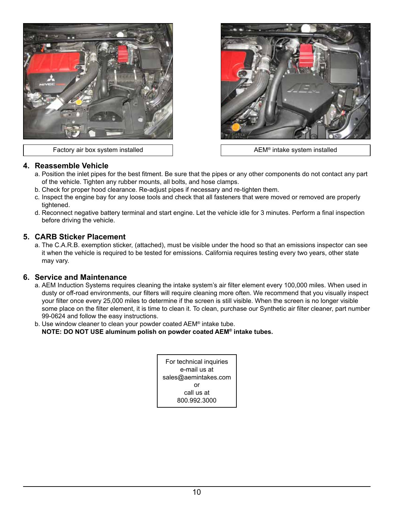![](_page_9_Picture_0.jpeg)

Factory air box system installed and all the AEM® intake system installed

![](_page_9_Picture_2.jpeg)

#### **4. Reassemble Vehicle**

- a. Position the inlet pipes for the best fitment. Be sure that the pipes or any other components do not contact any part of the vehicle. Tighten any rubber mounts, all bolts, and hose clamps.
- b. Check for proper hood clearance. Re-adjust pipes if necessary and re-tighten them.
- c. Inspect the engine bay for any loose tools and check that all fasteners that were moved or removed are properly tightened.
- d. Reconnect negative battery terminal and start engine. Let the vehicle idle for 3 minutes. Perform a final inspection before driving the vehicle.

### **5. CARB Sticker Placement**

a. The C.A.R.B. exemption sticker, (attached), must be visible under the hood so that an emissions inspector can see it when the vehicle is required to be tested for emissions. California requires testing every two years, other state may vary.

#### **6. Service and Maintenance**

- a. AEM Induction Systems requires cleaning the intake system's air filter element every 100,000 miles. When used in dusty or off-road environments, our filters will require cleaning more often. We recommend that you visually inspect your filter once every 25,000 miles to determine if the screen is still visible. When the screen is no longer visible some place on the filter element, it is time to clean it. To clean, purchase our Synthetic air filter cleaner, part number 99-0624 and follow the easy instructions.
- b. Use window cleaner to clean your powder coated AEM® intake tube. **NOTE: DO NOT USE aluminum polish on powder coated AEM® intake tubes.**

For technical inquiries e-mail us at sales@aemintakes.com or call us at 800.992.3000